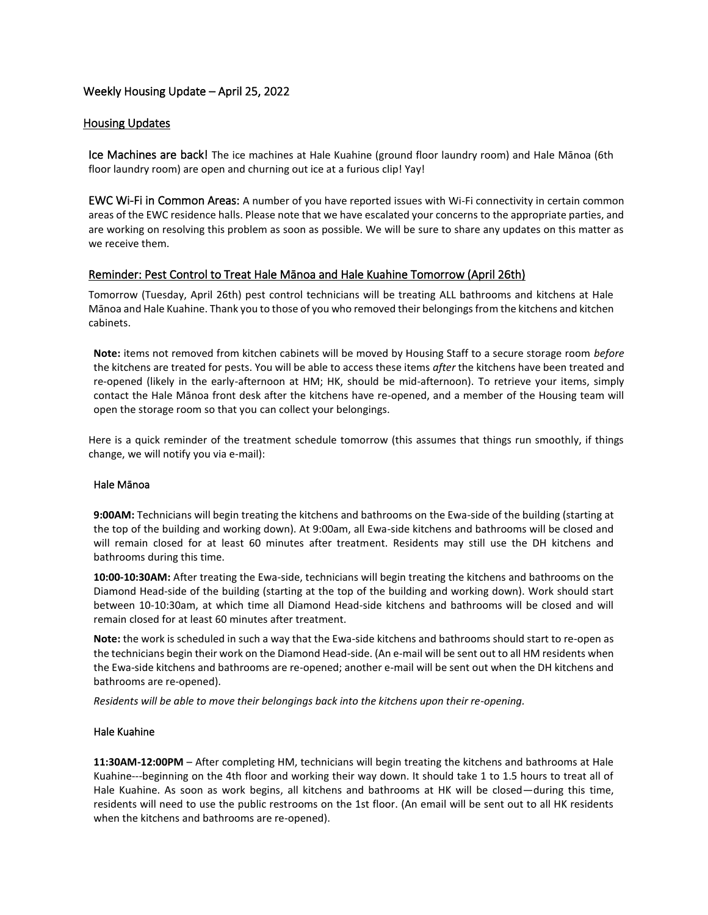# Weekly Housing Update – April 25, 2022

### Housing Updates

Ice Machines are back! The ice machines at Hale Kuahine (ground floor laundry room) and Hale Mānoa (6th floor laundry room) are open and churning out ice at a furious clip! Yay!

EWC Wi-Fi in Common Areas: A number of you have reported issues with Wi-Fi connectivity in certain common areas of the EWC residence halls. Please note that we have escalated your concerns to the appropriate parties, and are working on resolving this problem as soon as possible. We will be sure to share any updates on this matter as we receive them.

## Reminder: Pest Control to Treat Hale Mānoa and Hale Kuahine Tomorrow (April 26th)

Tomorrow (Tuesday, April 26th) pest control technicians will be treating ALL bathrooms and kitchens at Hale Mānoa and Hale Kuahine. Thank you to those of you who removed their belongings from the kitchens and kitchen cabinets.

**Note:** items not removed from kitchen cabinets will be moved by Housing Staff to a secure storage room *before* the kitchens are treated for pests. You will be able to access these items *after* the kitchens have been treated and re-opened (likely in the early-afternoon at HM; HK, should be mid-afternoon). To retrieve your items, simply contact the Hale Mānoa front desk after the kitchens have re-opened, and a member of the Housing team will open the storage room so that you can collect your belongings.

Here is a quick reminder of the treatment schedule tomorrow (this assumes that things run smoothly, if things change, we will notify you via e-mail):

### Hale Mānoa

**9:00AM:** Technicians will begin treating the kitchens and bathrooms on the Ewa-side of the building (starting at the top of the building and working down). At 9:00am, all Ewa-side kitchens and bathrooms will be closed and will remain closed for at least 60 minutes after treatment. Residents may still use the DH kitchens and bathrooms during this time.

**10:00-10:30AM:** After treating the Ewa-side, technicians will begin treating the kitchens and bathrooms on the Diamond Head-side of the building (starting at the top of the building and working down). Work should start between 10-10:30am, at which time all Diamond Head-side kitchens and bathrooms will be closed and will remain closed for at least 60 minutes after treatment.

**Note:** the work is scheduled in such a way that the Ewa-side kitchens and bathrooms should start to re-open as the technicians begin their work on the Diamond Head-side. (An e-mail will be sent out to all HM residents when the Ewa-side kitchens and bathrooms are re-opened; another e-mail will be sent out when the DH kitchens and bathrooms are re-opened).

*Residents will be able to move their belongings back into the kitchens upon their re-opening.*

### Hale Kuahine

**11:30AM-12:00PM** – After completing HM, technicians will begin treating the kitchens and bathrooms at Hale Kuahine---beginning on the 4th floor and working their way down. It should take 1 to 1.5 hours to treat all of Hale Kuahine. As soon as work begins, all kitchens and bathrooms at HK will be closed—during this time, residents will need to use the public restrooms on the 1st floor. (An email will be sent out to all HK residents when the kitchens and bathrooms are re-opened).